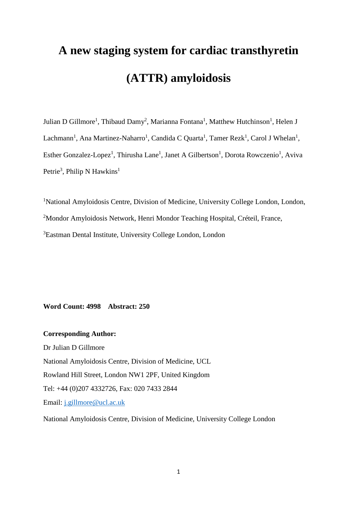# **A new staging system for cardiac transthyretin (ATTR) amyloidosis**

Julian D Gillmore<sup>1</sup>, Thibaud Damy<sup>2</sup>, Marianna Fontana<sup>1</sup>, Matthew Hutchinson<sup>1</sup>, Helen J Lachmann<sup>1</sup>, Ana Martinez-Naharro<sup>1</sup>, Candida C Quarta<sup>1</sup>, Tamer Rezk<sup>1</sup>, Carol J Whelan<sup>1</sup>, Esther Gonzalez-Lopez<sup>1</sup>, Thirusha Lane<sup>1</sup>, Janet A Gilbertson<sup>1</sup>, Dorota Rowczenio<sup>1</sup>, Aviva Petrie<sup>3</sup>, Philip N Hawkins<sup>1</sup>

<sup>1</sup>National Amyloidosis Centre, Division of Medicine, University College London, London, <sup>2</sup>Mondor Amyloidosis Network, Henri Mondor Teaching Hospital, Créteil, France, <sup>3</sup>Eastman Dental Institute, University College London, London

**Word Count: 4998 Abstract: 250**

**Corresponding Author:** Dr Julian D Gillmore National Amyloidosis Centre, Division of Medicine, UCL Rowland Hill Street, London NW1 2PF, United Kingdom Tel: +44 (0)207 4332726, Fax: 020 7433 2844 Email: j.gillmore@ucl.ac.uk

National Amyloidosis Centre, Division of Medicine, University College London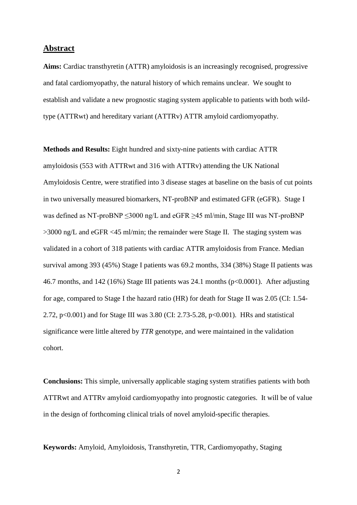#### **Abstract**

**Aims:** Cardiac transthyretin (ATTR) amyloidosis is an increasingly recognised, progressive and fatal cardiomyopathy, the natural history of which remains unclear. We sought to establish and validate a new prognostic staging system applicable to patients with both wildtype (ATTRwt) and hereditary variant (ATTRv) ATTR amyloid cardiomyopathy.

**Methods and Results:** Eight hundred and sixty-nine patients with cardiac ATTR amyloidosis (553 with ATTRwt and 316 with ATTRv) attending the UK National Amyloidosis Centre, were stratified into 3 disease stages at baseline on the basis of cut points in two universally measured biomarkers, NT-proBNP and estimated GFR (eGFR). Stage I was defined as NT-proBNP  $\leq$ 3000 ng/L and eGFR  $\geq$ 45 ml/min, Stage III was NT-proBNP >3000 ng/L and eGFR <45 ml/min; the remainder were Stage II. The staging system was validated in a cohort of 318 patients with cardiac ATTR amyloidosis from France. Median survival among 393 (45%) Stage I patients was 69.2 months, 334 (38%) Stage II patients was 46.7 months, and 142 (16%) Stage III patients was 24.1 months (p<0.0001). After adjusting for age, compared to Stage I the hazard ratio (HR) for death for Stage II was 2.05 (CI: 1.54- 2.72, p<0.001) and for Stage III was 3.80 (CI: 2.73-5.28, p<0.001). HRs and statistical significance were little altered by *TTR* genotype, and were maintained in the validation cohort.

**Conclusions:** This simple, universally applicable staging system stratifies patients with both ATTRwt and ATTRv amyloid cardiomyopathy into prognostic categories. It will be of value in the design of forthcoming clinical trials of novel amyloid-specific therapies.

**Keywords:** Amyloid, Amyloidosis, Transthyretin, TTR, Cardiomyopathy, Staging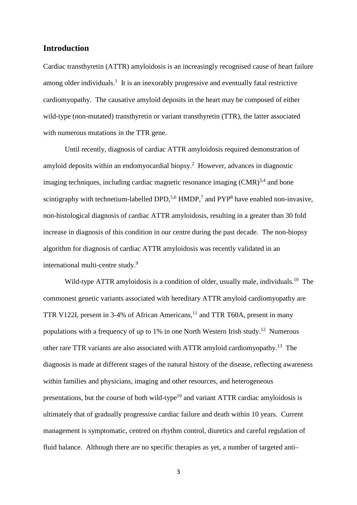## **Introduction**

Cardiac transthyretin (ATTR) amyloidosis is an increasingly recognised cause of heart failure among older individuals.<sup>1</sup> It is an inexorably progressive and eventually fatal restrictive cardiomyopathy. The causative amyloid deposits in the heart may be composed of either wild-type (non-mutated) transthyretin or variant transthyretin (TTR), the latter associated with numerous mutations in the TTR gene.

Until recently, diagnosis of cardiac ATTR amyloidosis required demonstration of amyloid deposits within an endomyocardial biopsy.<sup>2</sup> However, advances in diagnostic imaging techniques, including cardiac magnetic resonance imaging  $(CMR)^{3,4}$  and bone scintigraphy with technetium-labelled DPD,<sup>5,6</sup> HMDP,<sup>7</sup> and PYP<sup>8</sup> have enabled non-invasive, non-histological diagnosis of cardiac ATTR amyloidosis, resulting in a greater than 30 fold increase in diagnosis of this condition in our centre during the past decade. The non-biopsy algorithm for diagnosis of cardiac ATTR amyloidosis was recently validated in an international multi-centre study.<sup>9</sup>

Wild-type ATTR amyloidosis is a condition of older, usually male, individuals.<sup>10</sup> The commonest genetic variants associated with hereditary ATTR amyloid cardiomyopathy are TTR V122I, present in 3-4% of African Americans,  $11$  and TTR T60A, present in many populations with a frequency of up to 1% in one North Western Irish study.<sup>12</sup> Numerous other rare TTR variants are also associated with ATTR amyloid cardiomyopathy.<sup>13</sup> The diagnosis is made at different stages of the natural history of the disease, reflecting awareness within families and physicians, imaging and other resources, and heterogeneous presentations, but the course of both wild-type<sup>10</sup> and variant ATTR cardiac amyloidosis is ultimately that of gradually progressive cardiac failure and death within 10 years. Current management is symptomatic, centred on rhythm control, diuretics and careful regulation of fluid balance. Although there are no specific therapies as yet, a number of targeted anti–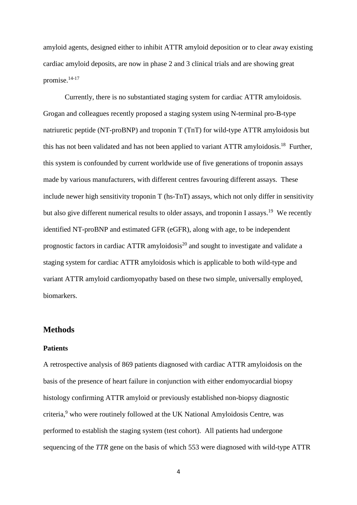amyloid agents, designed either to inhibit ATTR amyloid deposition or to clear away existing cardiac amyloid deposits, are now in phase 2 and 3 clinical trials and are showing great promise.14-17

Currently, there is no substantiated staging system for cardiac ATTR amyloidosis. Grogan and colleagues recently proposed a staging system using N-terminal pro-B-type natriuretic peptide (NT-proBNP) and troponin T (TnT) for wild-type ATTR amyloidosis but this has not been validated and has not been applied to variant  $ATTR$  amyloidosis.<sup>18</sup> Further, this system is confounded by current worldwide use of five generations of troponin assays made by various manufacturers, with different centres favouring different assays. These include newer high sensitivity troponin T (hs-TnT) assays, which not only differ in sensitivity but also give different numerical results to older assays, and troponin I assays.<sup>19</sup> We recently identified NT-proBNP and estimated GFR (eGFR), along with age, to be independent prognostic factors in cardiac ATTR amyloidosis $^{20}$  and sought to investigate and validate a staging system for cardiac ATTR amyloidosis which is applicable to both wild-type and variant ATTR amyloid cardiomyopathy based on these two simple, universally employed, biomarkers.

#### **Methods**

#### **Patients**

A retrospective analysis of 869 patients diagnosed with cardiac ATTR amyloidosis on the basis of the presence of heart failure in conjunction with either endomyocardial biopsy histology confirming ATTR amyloid or previously established non-biopsy diagnostic criteria,<sup>9</sup> who were routinely followed at the UK National Amyloidosis Centre, was performed to establish the staging system (test cohort). All patients had undergone sequencing of the *TTR* gene on the basis of which 553 were diagnosed with wild-type ATTR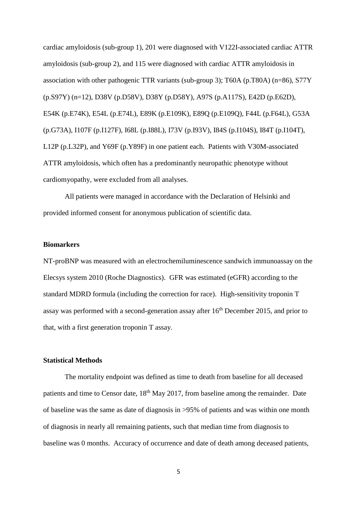cardiac amyloidosis (sub-group 1), 201 were diagnosed with V122I-associated cardiac ATTR amyloidosis (sub-group 2), and 115 were diagnosed with cardiac ATTR amyloidosis in association with other pathogenic TTR variants (sub-group 3); T60A (p.T80A) (n=86), S77Y (p.S97Y) (n=12), D38V (p.D58V), D38Y (p.D58Y), A97S (p.A117S), E42D (p.E62D), E54K (p.E74K), E54L (p.E74L), E89K (p.E109K), E89Q (p.E109Q), F44L (p.F64L), G53A (p.G73A), I107F (p.I127F), I68L (p.I88L), I73V (p.I93V), I84S (p.I104S), I84T (p.I104T), L12P (p.L32P), and Y69F (p.Y89F) in one patient each. Patients with V30M-associated ATTR amyloidosis, which often has a predominantly neuropathic phenotype without cardiomyopathy, were excluded from all analyses.

All patients were managed in accordance with the Declaration of Helsinki and provided informed consent for anonymous publication of scientific data.

#### **Biomarkers**

NT-proBNP was measured with an electrochemiluminescence sandwich immunoassay on the Elecsys system 2010 (Roche Diagnostics). GFR was estimated (eGFR) according to the standard MDRD formula (including the correction for race). High-sensitivity troponin T assay was performed with a second-generation assay after 16<sup>th</sup> December 2015, and prior to that, with a first generation troponin T assay.

#### **Statistical Methods**

The mortality endpoint was defined as time to death from baseline for all deceased patients and time to Censor date, 18<sup>th</sup> May 2017, from baseline among the remainder. Date of baseline was the same as date of diagnosis in >95% of patients and was within one month of diagnosis in nearly all remaining patients, such that median time from diagnosis to baseline was 0 months. Accuracy of occurrence and date of death among deceased patients,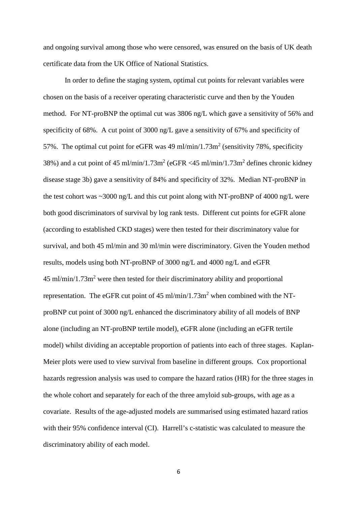and ongoing survival among those who were censored, was ensured on the basis of UK death certificate data from the UK Office of National Statistics.

In order to define the staging system, optimal cut points for relevant variables were chosen on the basis of a receiver operating characteristic curve and then by the Youden method. For NT-proBNP the optimal cut was 3806 ng/L which gave a sensitivity of 56% and specificity of 68%. A cut point of 3000 ng/L gave a sensitivity of 67% and specificity of 57%. The optimal cut point for eGFR was 49 ml/min/1.73m<sup>2</sup> (sensitivity 78%, specificity 38%) and a cut point of 45 ml/min/1.73m<sup>2</sup> (eGFR <45 ml/min/1.73m<sup>2</sup> defines chronic kidney disease stage 3b) gave a sensitivity of 84% and specificity of 32%. Median NT-proBNP in the test cohort was ~3000 ng/L and this cut point along with NT-proBNP of 4000 ng/L were both good discriminators of survival by log rank tests. Different cut points for eGFR alone (according to established CKD stages) were then tested for their discriminatory value for survival, and both 45 ml/min and 30 ml/min were discriminatory. Given the Youden method results, models using both NT-proBNP of 3000 ng/L and 4000 ng/L and eGFR  $45 \text{ ml/min}/1.73 \text{ m}^2$  were then tested for their discriminatory ability and proportional representation. The eGFR cut point of  $45 \text{ ml/min}/1.73 \text{ m}^2$  when combined with the NTproBNP cut point of 3000 ng/L enhanced the discriminatory ability of all models of BNP alone (including an NT-proBNP tertile model), eGFR alone (including an eGFR tertile model) whilst dividing an acceptable proportion of patients into each of three stages. Kaplan-Meier plots were used to view survival from baseline in different groups. Cox proportional hazards regression analysis was used to compare the hazard ratios (HR) for the three stages in the whole cohort and separately for each of the three amyloid sub-groups, with age as a covariate. Results of the age-adjusted models are summarised using estimated hazard ratios with their 95% confidence interval (CI). Harrell's c-statistic was calculated to measure the discriminatory ability of each model.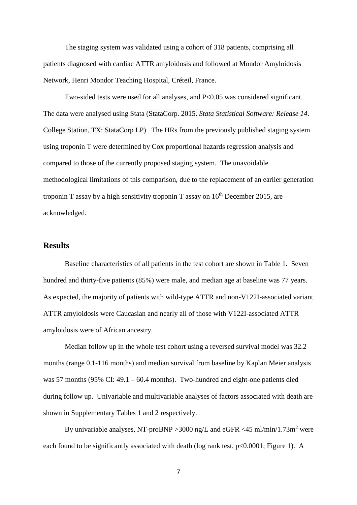The staging system was validated using a cohort of 318 patients, comprising all patients diagnosed with cardiac ATTR amyloidosis and followed at Mondor Amyloidosis Network, Henri Mondor Teaching Hospital, Créteil, France.

Two-sided tests were used for all analyses, and P<0.05 was considered significant. The data were analysed using Stata (StataCorp. 2015. *Stata Statistical Software: Release 14*. College Station, TX: StataCorp LP). The HRs from the previously published staging system using troponin T were determined by Cox proportional hazards regression analysis and compared to those of the currently proposed staging system. The unavoidable methodological limitations of this comparison, due to the replacement of an earlier generation troponin T assay by a high sensitivity troponin T assay on  $16<sup>th</sup>$  December 2015, are acknowledged.

## **Results**

Baseline characteristics of all patients in the test cohort are shown in Table 1. Seven hundred and thirty-five patients (85%) were male, and median age at baseline was 77 years. As expected, the majority of patients with wild-type ATTR and non-V122I-associated variant ATTR amyloidosis were Caucasian and nearly all of those with V122I-associated ATTR amyloidosis were of African ancestry.

Median follow up in the whole test cohort using a reversed survival model was 32.2 months (range 0.1-116 months) and median survival from baseline by Kaplan Meier analysis was 57 months (95% CI: 49.1 – 60.4 months). Two-hundred and eight-one patients died during follow up. Univariable and multivariable analyses of factors associated with death are shown in Supplementary Tables 1 and 2 respectively.

By univariable analyses, NT-proBNP > 3000 ng/L and eGFR <45 ml/min/1.73m<sup>2</sup> were each found to be significantly associated with death (log rank test,  $p<0.0001$ ; Figure 1). A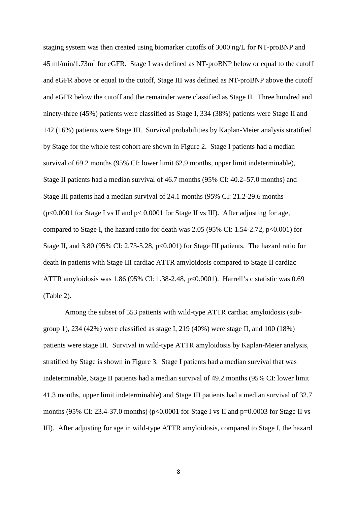staging system was then created using biomarker cutoffs of 3000 ng/L for NT-proBNP and  $45 \text{ ml/min}/1.73 \text{ m}^2$  for eGFR. Stage I was defined as NT-proBNP below or equal to the cutoff and eGFR above or equal to the cutoff, Stage III was defined as NT-proBNP above the cutoff and eGFR below the cutoff and the remainder were classified as Stage II. Three hundred and ninety-three (45%) patients were classified as Stage I, 334 (38%) patients were Stage II and 142 (16%) patients were Stage III. Survival probabilities by Kaplan-Meier analysis stratified by Stage for the whole test cohort are shown in Figure 2. Stage I patients had a median survival of 69.2 months (95% CI: lower limit 62.9 months, upper limit indeterminable), Stage II patients had a median survival of 46.7 months (95% CI: 40.2–57.0 months) and Stage III patients had a median survival of 24.1 months (95% CI: 21.2-29.6 months (p<0.0001 for Stage I vs II and p< 0.0001 for Stage II vs III). After adjusting for age, compared to Stage I, the hazard ratio for death was 2.05 (95% CI: 1.54-2.72,  $p<0.001$ ) for Stage II, and 3.80 (95% CI: 2.73-5.28, p<0.001) for Stage III patients. The hazard ratio for death in patients with Stage III cardiac ATTR amyloidosis compared to Stage II cardiac ATTR amyloidosis was 1.86 (95% CI: 1.38-2.48, p<0.0001). Harrell's c statistic was 0.69 (Table 2).

Among the subset of 553 patients with wild-type ATTR cardiac amyloidosis (subgroup 1), 234 (42%) were classified as stage I, 219 (40%) were stage II, and 100 (18%) patients were stage III. Survival in wild-type ATTR amyloidosis by Kaplan-Meier analysis, stratified by Stage is shown in Figure 3. Stage I patients had a median survival that was indeterminable, Stage II patients had a median survival of 49.2 months (95% CI: lower limit 41.3 months, upper limit indeterminable) and Stage III patients had a median survival of 32.7 months (95% CI: 23.4-37.0 months) ( $p<0.0001$  for Stage I vs II and  $p=0.0003$  for Stage II vs III). After adjusting for age in wild-type ATTR amyloidosis, compared to Stage I, the hazard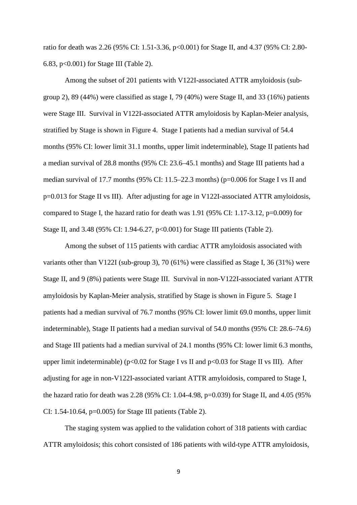ratio for death was 2.26 (95% CI: 1.51-3.36, p<0.001) for Stage II, and 4.37 (95% CI: 2.80- 6.83, p<0.001) for Stage III (Table 2).

Among the subset of 201 patients with V122I-associated ATTR amyloidosis (subgroup 2), 89 (44%) were classified as stage I, 79 (40%) were Stage II, and 33 (16%) patients were Stage III. Survival in V122I-associated ATTR amyloidosis by Kaplan-Meier analysis, stratified by Stage is shown in Figure 4. Stage I patients had a median survival of 54.4 months (95% CI: lower limit 31.1 months, upper limit indeterminable), Stage II patients had a median survival of 28.8 months (95% CI: 23.6–45.1 months) and Stage III patients had a median survival of 17.7 months (95% CI: 11.5–22.3 months) (p=0.006 for Stage I vs II and p=0.013 for Stage II vs III). After adjusting for age in V122I-associated ATTR amyloidosis, compared to Stage I, the hazard ratio for death was 1.91 (95% CI: 1.17-3.12, p=0.009) for Stage II, and 3.48 (95% CI: 1.94-6.27, p<0.001) for Stage III patients (Table 2).

Among the subset of 115 patients with cardiac ATTR amyloidosis associated with variants other than V122I (sub-group 3), 70 (61%) were classified as Stage I, 36 (31%) were Stage II, and 9 (8%) patients were Stage III. Survival in non-V122I-associated variant ATTR amyloidosis by Kaplan-Meier analysis, stratified by Stage is shown in Figure 5. Stage I patients had a median survival of 76.7 months (95% CI: lower limit 69.0 months, upper limit indeterminable), Stage II patients had a median survival of 54.0 months (95% CI: 28.6–74.6) and Stage III patients had a median survival of 24.1 months (95% CI: lower limit 6.3 months, upper limit indeterminable) ( $p<0.02$  for Stage I vs II and  $p<0.03$  for Stage II vs III). After adjusting for age in non-V122I-associated variant ATTR amyloidosis, compared to Stage I, the hazard ratio for death was 2.28 (95% CI: 1.04-4.98, p=0.039) for Stage II, and 4.05 (95% CI: 1.54-10.64, p=0.005) for Stage III patients (Table 2).

The staging system was applied to the validation cohort of 318 patients with cardiac ATTR amyloidosis; this cohort consisted of 186 patients with wild-type ATTR amyloidosis,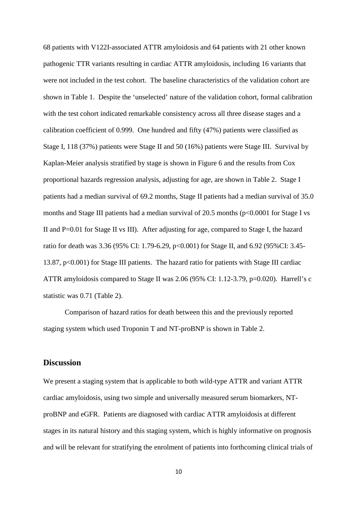68 patients with V122I-associated ATTR amyloidosis and 64 patients with 21 other known pathogenic TTR variants resulting in cardiac ATTR amyloidosis, including 16 variants that were not included in the test cohort. The baseline characteristics of the validation cohort are shown in Table 1. Despite the 'unselected' nature of the validation cohort, formal calibration with the test cohort indicated remarkable consistency across all three disease stages and a calibration coefficient of 0.999. One hundred and fifty (47%) patients were classified as Stage I, 118 (37%) patients were Stage II and 50 (16%) patients were Stage III. Survival by Kaplan-Meier analysis stratified by stage is shown in Figure 6 and the results from Cox proportional hazards regression analysis, adjusting for age, are shown in Table 2. Stage I patients had a median survival of 69.2 months, Stage II patients had a median survival of 35.0 months and Stage III patients had a median survival of 20.5 months (p<0.0001 for Stage I vs II and P=0.01 for Stage II vs III). After adjusting for age, compared to Stage I, the hazard ratio for death was 3.36 (95% CI: 1.79-6.29, p<0.001) for Stage II, and 6.92 (95%CI: 3.45- 13.87, p<0.001) for Stage III patients. The hazard ratio for patients with Stage III cardiac ATTR amyloidosis compared to Stage II was 2.06 (95% CI: 1.12-3.79, p=0.020). Harrell's c statistic was 0.71 (Table 2).

Comparison of hazard ratios for death between this and the previously reported staging system which used Troponin T and NT-proBNP is shown in Table 2.

#### **Discussion**

We present a staging system that is applicable to both wild-type ATTR and variant ATTR cardiac amyloidosis, using two simple and universally measured serum biomarkers, NTproBNP and eGFR. Patients are diagnosed with cardiac ATTR amyloidosis at different stages in its natural history and this staging system, which is highly informative on prognosis and will be relevant for stratifying the enrolment of patients into forthcoming clinical trials of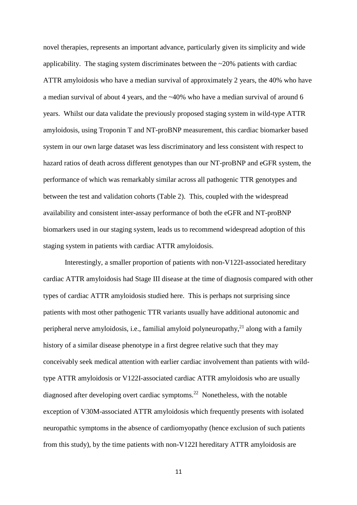novel therapies, represents an important advance, particularly given its simplicity and wide applicability. The staging system discriminates between the  $\approx$ 20% patients with cardiac ATTR amyloidosis who have a median survival of approximately 2 years, the 40% who have a median survival of about 4 years, and the ~40% who have a median survival of around 6 years. Whilst our data validate the previously proposed staging system in wild-type ATTR amyloidosis, using Troponin T and NT-proBNP measurement, this cardiac biomarker based system in our own large dataset was less discriminatory and less consistent with respect to hazard ratios of death across different genotypes than our NT-proBNP and eGFR system, the performance of which was remarkably similar across all pathogenic TTR genotypes and between the test and validation cohorts (Table 2). This, coupled with the widespread availability and consistent inter-assay performance of both the eGFR and NT-proBNP biomarkers used in our staging system, leads us to recommend widespread adoption of this staging system in patients with cardiac ATTR amyloidosis.

Interestingly, a smaller proportion of patients with non-V122I-associated hereditary cardiac ATTR amyloidosis had Stage III disease at the time of diagnosis compared with other types of cardiac ATTR amyloidosis studied here. This is perhaps not surprising since patients with most other pathogenic TTR variants usually have additional autonomic and peripheral nerve amyloidosis, i.e., familial amyloid polyneuropathy, $^{21}$  along with a family history of a similar disease phenotype in a first degree relative such that they may conceivably seek medical attention with earlier cardiac involvement than patients with wildtype ATTR amyloidosis or V122I-associated cardiac ATTR amyloidosis who are usually diagnosed after developing overt cardiac symptoms.<sup>22</sup> Nonetheless, with the notable exception of V30M-associated ATTR amyloidosis which frequently presents with isolated neuropathic symptoms in the absence of cardiomyopathy (hence exclusion of such patients from this study), by the time patients with non-V122I hereditary ATTR amyloidosis are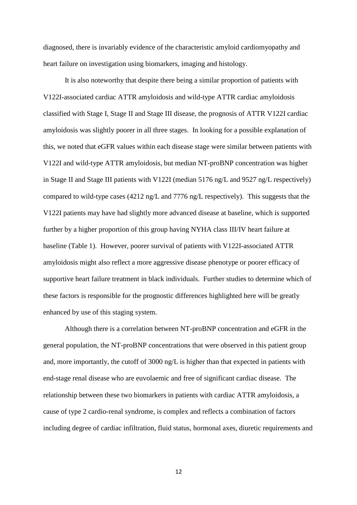diagnosed, there is invariably evidence of the characteristic amyloid cardiomyopathy and heart failure on investigation using biomarkers, imaging and histology.

It is also noteworthy that despite there being a similar proportion of patients with V122I-associated cardiac ATTR amyloidosis and wild-type ATTR cardiac amyloidosis classified with Stage I, Stage II and Stage III disease, the prognosis of ATTR V122I cardiac amyloidosis was slightly poorer in all three stages. In looking for a possible explanation of this, we noted that eGFR values within each disease stage were similar between patients with V122I and wild-type ATTR amyloidosis, but median NT-proBNP concentration was higher in Stage II and Stage III patients with V122I (median 5176 ng/L and 9527 ng/L respectively) compared to wild-type cases (4212 ng/L and 7776 ng/L respectively). This suggests that the V122I patients may have had slightly more advanced disease at baseline, which is supported further by a higher proportion of this group having NYHA class III/IV heart failure at baseline (Table 1). However, poorer survival of patients with V122I-associated ATTR amyloidosis might also reflect a more aggressive disease phenotype or poorer efficacy of supportive heart failure treatment in black individuals. Further studies to determine which of these factors is responsible for the prognostic differences highlighted here will be greatly enhanced by use of this staging system.

Although there is a correlation between NT-proBNP concentration and eGFR in the general population, the NT-proBNP concentrations that were observed in this patient group and, more importantly, the cutoff of  $3000 \text{ ng/L}$  is higher than that expected in patients with end-stage renal disease who are euvolaemic and free of significant cardiac disease. The relationship between these two biomarkers in patients with cardiac ATTR amyloidosis, a cause of type 2 cardio-renal syndrome, is complex and reflects a combination of factors including degree of cardiac infiltration, fluid status, hormonal axes, diuretic requirements and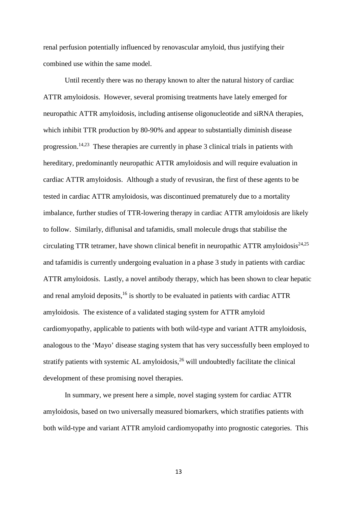renal perfusion potentially influenced by renovascular amyloid, thus justifying their combined use within the same model.

Until recently there was no therapy known to alter the natural history of cardiac ATTR amyloidosis. However, several promising treatments have lately emerged for neuropathic ATTR amyloidosis, including antisense oligonucleotide and siRNA therapies, which inhibit TTR production by 80-90% and appear to substantially diminish disease progression.<sup>14,23</sup> These therapies are currently in phase 3 clinical trials in patients with hereditary, predominantly neuropathic ATTR amyloidosis and will require evaluation in cardiac ATTR amyloidosis. Although a study of revusiran, the first of these agents to be tested in cardiac ATTR amyloidosis, was discontinued prematurely due to a mortality imbalance, further studies of TTR-lowering therapy in cardiac ATTR amyloidosis are likely to follow. Similarly, diflunisal and tafamidis, small molecule drugs that stabilise the circulating TTR tetramer, have shown clinical benefit in neuropathic ATTR amyloidosis $24.25$ and tafamidis is currently undergoing evaluation in a phase 3 study in patients with cardiac ATTR amyloidosis. Lastly, a novel antibody therapy, which has been shown to clear hepatic and renal amyloid deposits, $^{16}$  is shortly to be evaluated in patients with cardiac ATTR amyloidosis. The existence of a validated staging system for ATTR amyloid cardiomyopathy, applicable to patients with both wild-type and variant ATTR amyloidosis, analogous to the 'Mayo' disease staging system that has very successfully been employed to stratify patients with systemic AL amyloidosis,  $2<sup>6</sup>$  will undoubtedly facilitate the clinical development of these promising novel therapies.

In summary, we present here a simple, novel staging system for cardiac ATTR amyloidosis, based on two universally measured biomarkers, which stratifies patients with both wild-type and variant ATTR amyloid cardiomyopathy into prognostic categories. This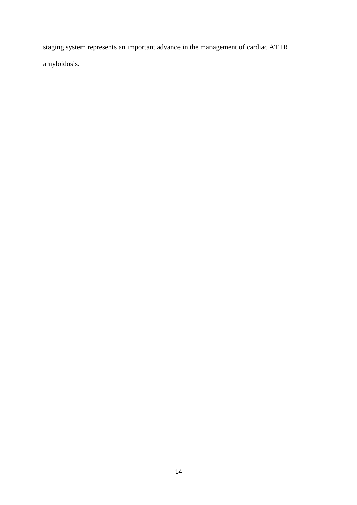staging system represents an important advance in the management of cardiac ATTR amyloidosis.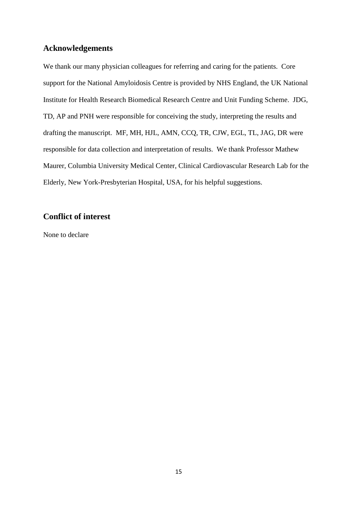# **Acknowledgements**

We thank our many physician colleagues for referring and caring for the patients. Core support for the National Amyloidosis Centre is provided by NHS England, the UK National Institute for Health Research Biomedical Research Centre and Unit Funding Scheme. JDG, TD, AP and PNH were responsible for conceiving the study, interpreting the results and drafting the manuscript. MF, MH, HJL, AMN, CCQ, TR, CJW, EGL, TL, JAG, DR were responsible for data collection and interpretation of results. We thank Professor Mathew Maurer, Columbia University Medical Center, Clinical Cardiovascular Research Lab for the Elderly, New York-Presbyterian Hospital, USA, for his helpful suggestions.

# **Conflict of interest**

None to declare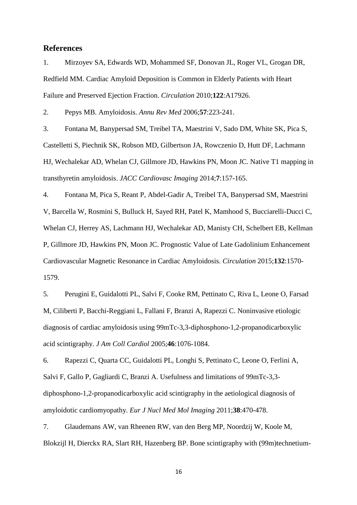### **References**

1. Mirzoyev SA, Edwards WD, Mohammed SF, Donovan JL, Roger VL, Grogan DR, Redfield MM. Cardiac Amyloid Deposition is Common in Elderly Patients with Heart Failure and Preserved Ejection Fraction. *Circulation* 2010;**122**:A17926.

2. Pepys MB. Amyloidosis. *Annu Rev Med* 2006;**57**:223-241.

3. Fontana M, Banypersad SM, Treibel TA, Maestrini V, Sado DM, White SK, Pica S, Castelletti S, Piechnik SK, Robson MD, Gilbertson JA, Rowczenio D, Hutt DF, Lachmann HJ, Wechalekar AD, Whelan CJ, Gillmore JD, Hawkins PN, Moon JC. Native T1 mapping in transthyretin amyloidosis. *JACC Cardiovasc Imaging* 2014;**7**:157-165.

4. Fontana M, Pica S, Reant P, Abdel-Gadir A, Treibel TA, Banypersad SM, Maestrini V, Barcella W, Rosmini S, Bulluck H, Sayed RH, Patel K, Mamhood S, Bucciarelli-Ducci C, Whelan CJ, Herrey AS, Lachmann HJ, Wechalekar AD, Manisty CH, Schelbert EB, Kellman P, Gillmore JD, Hawkins PN, Moon JC. Prognostic Value of Late Gadolinium Enhancement Cardiovascular Magnetic Resonance in Cardiac Amyloidosis. *Circulation* 2015;**132**:1570- 1579.

5. Perugini E, Guidalotti PL, Salvi F, Cooke RM, Pettinato C, Riva L, Leone O, Farsad M, Ciliberti P, Bacchi-Reggiani L, Fallani F, Branzi A, Rapezzi C. Noninvasive etiologic diagnosis of cardiac amyloidosis using 99mTc-3,3-diphosphono-1,2-propanodicarboxylic acid scintigraphy. *J Am Coll Cardiol* 2005;**46**:1076-1084.

6. Rapezzi C, Quarta CC, Guidalotti PL, Longhi S, Pettinato C, Leone O, Ferlini A, Salvi F, Gallo P, Gagliardi C, Branzi A. Usefulness and limitations of 99mTc-3,3 diphosphono-1,2-propanodicarboxylic acid scintigraphy in the aetiological diagnosis of amyloidotic cardiomyopathy. *Eur J Nucl Med Mol Imaging* 2011;**38**:470-478.

7. Glaudemans AW, van Rheenen RW, van den Berg MP, Noordzij W, Koole M, Blokzijl H, Dierckx RA, Slart RH, Hazenberg BP. Bone scintigraphy with (99m)technetium-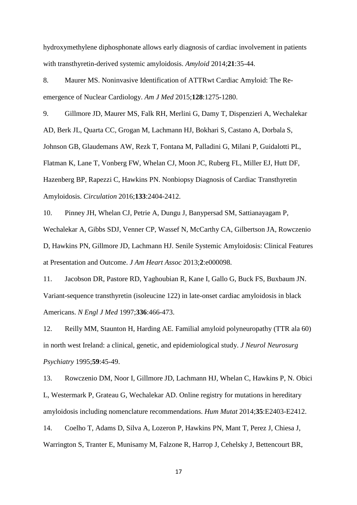hydroxymethylene diphosphonate allows early diagnosis of cardiac involvement in patients with transthyretin-derived systemic amyloidosis. *Amyloid* 2014;**21**:35-44.

8. Maurer MS. Noninvasive Identification of ATTRwt Cardiac Amyloid: The Reemergence of Nuclear Cardiology. *Am J Med* 2015;**128**:1275-1280.

9. Gillmore JD, Maurer MS, Falk RH, Merlini G, Damy T, Dispenzieri A, Wechalekar AD, Berk JL, Quarta CC, Grogan M, Lachmann HJ, Bokhari S, Castano A, Dorbala S, Johnson GB, Glaudemans AW, Rezk T, Fontana M, Palladini G, Milani P, Guidalotti PL, Flatman K, Lane T, Vonberg FW, Whelan CJ, Moon JC, Ruberg FL, Miller EJ, Hutt DF, Hazenberg BP, Rapezzi C, Hawkins PN. Nonbiopsy Diagnosis of Cardiac Transthyretin Amyloidosis. *Circulation* 2016;**133**:2404-2412.

10. Pinney JH, Whelan CJ, Petrie A, Dungu J, Banypersad SM, Sattianayagam P, Wechalekar A, Gibbs SDJ, Venner CP, Wassef N, McCarthy CA, Gilbertson JA, Rowczenio D, Hawkins PN, Gillmore JD, Lachmann HJ. Senile Systemic Amyloidosis: Clinical Features at Presentation and Outcome. *J Am Heart Assoc* 2013;**2**:e000098.

11. Jacobson DR, Pastore RD, Yaghoubian R, Kane I, Gallo G, Buck FS, Buxbaum JN. Variant-sequence transthyretin (isoleucine 122) in late-onset cardiac amyloidosis in black Americans. *N Engl J Med* 1997;**336**:466-473.

12. Reilly MM, Staunton H, Harding AE. Familial amyloid polyneuropathy (TTR ala 60) in north west Ireland: a clinical, genetic, and epidemiological study. *J Neurol Neurosurg Psychiatry* 1995;**59**:45-49.

13. Rowczenio DM, Noor I, Gillmore JD, Lachmann HJ, Whelan C, Hawkins P, N. Obici L, Westermark P, Grateau G, Wechalekar AD. Online registry for mutations in hereditary amyloidosis including nomenclature recommendations. *Hum Mutat* 2014;**35**:E2403-E2412.

14. Coelho T, Adams D, Silva A, Lozeron P, Hawkins PN, Mant T, Perez J, Chiesa J, Warrington S, Tranter E, Munisamy M, Falzone R, Harrop J, Cehelsky J, Bettencourt BR,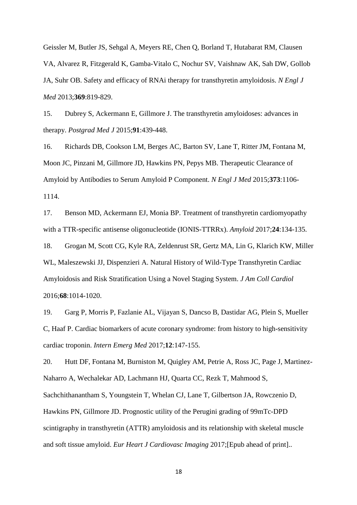Geissler M, Butler JS, Sehgal A, Meyers RE, Chen Q, Borland T, Hutabarat RM, Clausen VA, Alvarez R, Fitzgerald K, Gamba-Vitalo C, Nochur SV, Vaishnaw AK, Sah DW, Gollob JA, Suhr OB. Safety and efficacy of RNAi therapy for transthyretin amyloidosis. *N Engl J Med* 2013;**369**:819-829.

15. Dubrey S, Ackermann E, Gillmore J. The transthyretin amyloidoses: advances in therapy. *Postgrad Med J* 2015;**91**:439-448.

16. Richards DB, Cookson LM, Berges AC, Barton SV, Lane T, Ritter JM, Fontana M, Moon JC, Pinzani M, Gillmore JD, Hawkins PN, Pepys MB. Therapeutic Clearance of Amyloid by Antibodies to Serum Amyloid P Component. *N Engl J Med* 2015;**373**:1106- 1114.

17. Benson MD, Ackermann EJ, Monia BP. Treatment of transthyretin cardiomyopathy with a TTR-specific antisense oligonucleotide (IONIS-TTRRx). *Amyloid* 2017;**24**:134-135.

18. Grogan M, Scott CG, Kyle RA, Zeldenrust SR, Gertz MA, Lin G, Klarich KW, Miller WL, Maleszewski JJ, Dispenzieri A. Natural History of Wild-Type Transthyretin Cardiac Amyloidosis and Risk Stratification Using a Novel Staging System. *J Am Coll Cardiol* 2016;**68**:1014-1020.

19. Garg P, Morris P, Fazlanie AL, Vijayan S, Dancso B, Dastidar AG, Plein S, Mueller C, Haaf P. Cardiac biomarkers of acute coronary syndrome: from history to high-sensitivity cardiac troponin. *Intern Emerg Med* 2017;**12**:147-155.

20. Hutt DF, Fontana M, Burniston M, Quigley AM, Petrie A, Ross JC, Page J, Martinez-Naharro A, Wechalekar AD, Lachmann HJ, Quarta CC, Rezk T, Mahmood S, Sachchithanantham S, Youngstein T, Whelan CJ, Lane T, Gilbertson JA, Rowczenio D, Hawkins PN, Gillmore JD. Prognostic utility of the Perugini grading of 99mTc-DPD scintigraphy in transthyretin (ATTR) amyloidosis and its relationship with skeletal muscle and soft tissue amyloid. *Eur Heart J Cardiovasc Imaging* 2017;[Epub ahead of print]..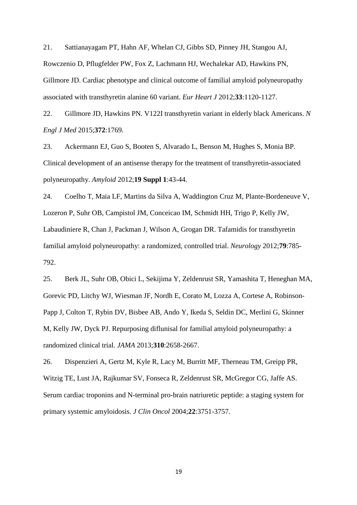21. Sattianayagam PT, Hahn AF, Whelan CJ, Gibbs SD, Pinney JH, Stangou AJ, Rowczenio D, Pflugfelder PW, Fox Z, Lachmann HJ, Wechalekar AD, Hawkins PN, Gillmore JD. Cardiac phenotype and clinical outcome of familial amyloid polyneuropathy associated with transthyretin alanine 60 variant. *Eur Heart J* 2012;**33**:1120-1127.

22. Gillmore JD, Hawkins PN. V122I transthyretin variant in elderly black Americans. *N Engl J Med* 2015;**372**:1769.

23. Ackermann EJ, Guo S, Booten S, Alvarado L, Benson M, Hughes S, Monia BP. Clinical development of an antisense therapy for the treatment of transthyretin-associated polyneuropathy. *Amyloid* 2012;**19 Suppl 1**:43-44.

24. Coelho T, Maia LF, Martins da Silva A, Waddington Cruz M, Plante-Bordeneuve V, Lozeron P, Suhr OB, Campistol JM, Conceicao IM, Schmidt HH, Trigo P, Kelly JW, Labaudiniere R, Chan J, Packman J, Wilson A, Grogan DR. Tafamidis for transthyretin familial amyloid polyneuropathy: a randomized, controlled trial. *Neurology* 2012;**79**:785- 792.

25. Berk JL, Suhr OB, Obici L, Sekijima Y, Zeldenrust SR, Yamashita T, Heneghan MA, Gorevic PD, Litchy WJ, Wiesman JF, Nordh E, Corato M, Lozza A, Cortese A, Robinson-Papp J, Colton T, Rybin DV, Bisbee AB, Ando Y, Ikeda S, Seldin DC, Merlini G, Skinner M, Kelly JW, Dyck PJ. Repurposing diflunisal for familial amyloid polyneuropathy: a randomized clinical trial. *JAMA* 2013;**310**:2658-2667.

26. Dispenzieri A, Gertz M, Kyle R, Lacy M, Burritt MF, Therneau TM, Greipp PR, Witzig TE, Lust JA, Rajkumar SV, Fonseca R, Zeldenrust SR, McGregor CG, Jaffe AS. Serum cardiac troponins and N-terminal pro-brain natriuretic peptide: a staging system for primary systemic amyloidosis. *J Clin Oncol* 2004;**22**:3751-3757.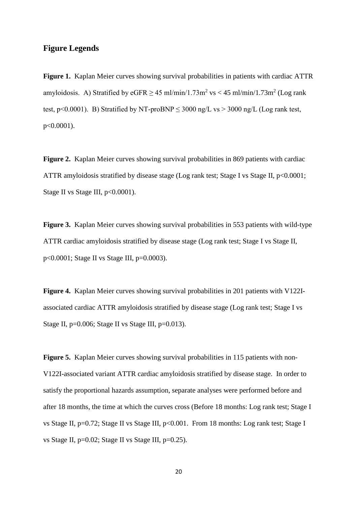## **Figure Legends**

**Figure 1.** Kaplan Meier curves showing survival probabilities in patients with cardiac ATTR amyloidosis. A) Stratified by  $eGFR \ge 45$  ml/min/1.73m<sup>2</sup> vs < 45 ml/min/1.73m<sup>2</sup> (Log rank test, p<0.0001). B) Stratified by NT-proBNP < 3000 ng/L vs > 3000 ng/L (Log rank test, p<0.0001).

**Figure 2.** Kaplan Meier curves showing survival probabilities in 869 patients with cardiac ATTR amyloidosis stratified by disease stage (Log rank test; Stage I vs Stage II,  $p<0.0001$ ; Stage II vs Stage III,  $p<0.0001$ ).

**Figure 3.** Kaplan Meier curves showing survival probabilities in 553 patients with wild-type ATTR cardiac amyloidosis stratified by disease stage (Log rank test; Stage I vs Stage II, p<0.0001; Stage II vs Stage III, p=0.0003).

**Figure 4.** Kaplan Meier curves showing survival probabilities in 201 patients with V122Iassociated cardiac ATTR amyloidosis stratified by disease stage (Log rank test; Stage I vs Stage II,  $p=0.006$ ; Stage II vs Stage III,  $p=0.013$ ).

Figure 5. Kaplan Meier curves showing survival probabilities in 115 patients with non-V122I-associated variant ATTR cardiac amyloidosis stratified by disease stage. In order to satisfy the proportional hazards assumption, separate analyses were performed before and after 18 months, the time at which the curves cross (Before 18 months: Log rank test; Stage I vs Stage II, p=0.72; Stage II vs Stage III, p<0.001. From 18 months: Log rank test; Stage I vs Stage II, p=0.02; Stage II vs Stage III, p=0.25).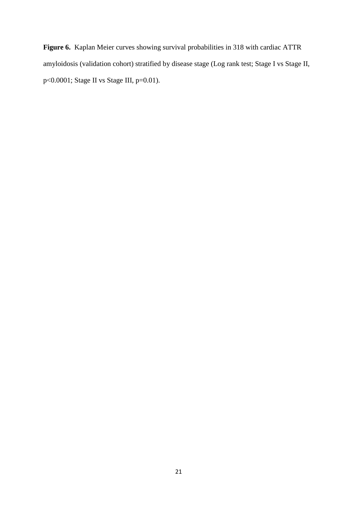**Figure 6.** Kaplan Meier curves showing survival probabilities in 318 with cardiac ATTR amyloidosis (validation cohort) stratified by disease stage (Log rank test; Stage I vs Stage II, p<0.0001; Stage II vs Stage III, p=0.01).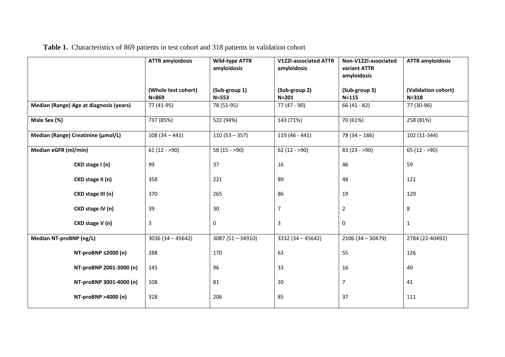|                                         | <b>ATTR amyloidosis</b>          | <b>Wild-type ATTR</b><br>amyloidosis | V122I-associated ATTR<br>amyloidosis | Non-V122I-associated<br>variant ATTR<br>amyloidosis | <b>ATTR amyloidosis</b>          |
|-----------------------------------------|----------------------------------|--------------------------------------|--------------------------------------|-----------------------------------------------------|----------------------------------|
|                                         | (Whole test cohort)<br>$N = 869$ | (Sub-group 1)<br>$N = 553$           | (Sub-group 2)<br>$N = 201$           | (Sub-group 3)<br>$N = 115$                          | (Validation cohort)<br>$N = 318$ |
| Median (Range) Age at diagnosis (years) | 77 (41-95)                       | 78 (51-95)                           | 77 (47 - 90)                         | $66(41 - 82)$                                       | 77 (30-96)                       |
| Male Sex (%)                            | 737 (85%)                        | 522 (94%)                            | 143 (71%)                            | 70 (61%)                                            | 258 (81%)                        |
| Median (Range) Creatinine (µmol/L)      | $108(34 - 441)$                  | $110(53 - 357)$                      | 119 (46 - 441)                       | $78(34 - 186)$                                      | 102 (11-344)                     |
| Median eGFR (ml/min)                    | $61(12 - 90)$                    | 58 $(15 - 90)$                       | $62(12 - 90)$                        | $83(23 - 90)$                                       | $65(12 - 90)$                    |
| CKD stage I (n)                         | 99                               | 37                                   | 16                                   | 46                                                  | 59                               |
| CKD stage II (n)                        | 358                              | 221                                  | 89                                   | 48                                                  | 121                              |
| CKD stage III (n)                       | 370                              | 265                                  | 86                                   | 19                                                  | 129                              |
| CKD stage IV (n)                        | 39                               | 30                                   | $\overline{7}$                       | 2                                                   | 8                                |
| CKD stage V (n)                         | 3                                | 0                                    | 3                                    | 0                                                   | $\mathbf{1}$                     |
| Median NT-proBNP (ng/L)                 | $3036(34 - 45642)$               | $3087(51 - 34910)$                   | $3332(34 - 45642)$                   | $2106(34 - 30479)$                                  | 2784 (22-40492)                  |
| NT-proBNP ≤2000 (n)                     | 288                              | 170                                  | 63                                   | 55                                                  | 126                              |
| NT-proBNP 2001-3000 (n)                 | 145                              | 96                                   | 33                                   | 16                                                  | 40                               |
| NT-proBNP 3001-4000 (n)                 | 108                              | 81                                   | 20                                   | 7                                                   | 41                               |
| NT-proBNP >4000 (n)                     | 328                              | 206                                  | 85                                   | 37                                                  | 111                              |

**Table 1.** Characteristics of 869 patients in test cohort and 318 patients in validation cohort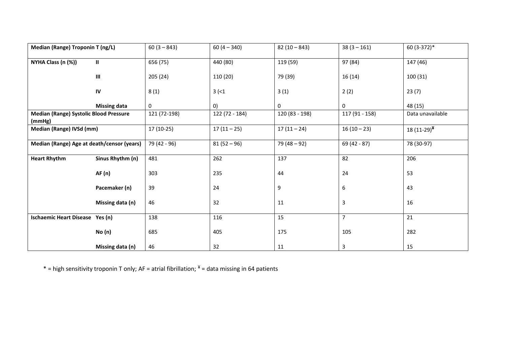| <b>Median (Range) Troponin T (ng/L)</b>                 |                                    | $60(3 - 843)$ | $60(4 - 340)$  | $82(10-843)$   | $38(3 - 161)$  | 60 (3-372)*                |
|---------------------------------------------------------|------------------------------------|---------------|----------------|----------------|----------------|----------------------------|
| NYHA Class (n (%))                                      | $\mathbf{H}$                       | 656 (75)      | 440 (80)       | 119 (59)       | 97 (84)        | 147 (46)                   |
|                                                         | $\ensuremath{\mathsf{III}}\xspace$ | 205 (24)      | 110 (20)       | 79 (39)        | 16(14)         | 100 (31)                   |
|                                                         | ${\sf IV}$                         | 8(1)          | $3 (-1)$       | 3(1)           | 2(2)           | 23(7)                      |
|                                                         | <b>Missing data</b>                | $\mathbf 0$   | 0)             | 0              | 0              | 48 (15)                    |
| <b>Median (Range) Systolic Blood Pressure</b><br>(mmHg) |                                    | 121 (72-198)  | 122 (72 - 184) | 120 (83 - 198) | 117 (91 - 158) | Data unavailable           |
| Median (Range) IVSd (mm)                                |                                    | $17(10-25)$   | $17(11-25)$    | $17(11-24)$    | $16(10-23)$    | 18 $(11-29)^{\frac{1}{2}}$ |
| Median (Range) Age at death/censor (years)              |                                    | 79 (42 - 96)  | $81(52 - 96)$  | $79(48 - 92)$  | $69(42 - 87)$  | 78 (30-97)                 |
| <b>Heart Rhythm</b>                                     | Sinus Rhythm (n)                   | 481           | 262            | 137            | 82             | 206                        |
|                                                         | <b>AF</b> (n)                      | 303           | 235            | 44             | 24             | 53                         |
|                                                         | Pacemaker (n)                      | 39            | 24             | 9              | 6              | 43                         |
|                                                         | Missing data (n)                   | 46            | 32             | 11             | 3              | 16                         |
| Ischaemic Heart Disease Yes (n)                         |                                    | 138           | 116            | 15             | $\overline{7}$ | 21                         |
|                                                         | No(n)                              | 685           | 405            | 175            | 105            | 282                        |
|                                                         | Missing data (n)                   | 46            | 32             | 11             | 3              | 15                         |

\* = high sensitivity troponin T only; AF = atrial fibrillation;  $*$  = data missing in 64 patients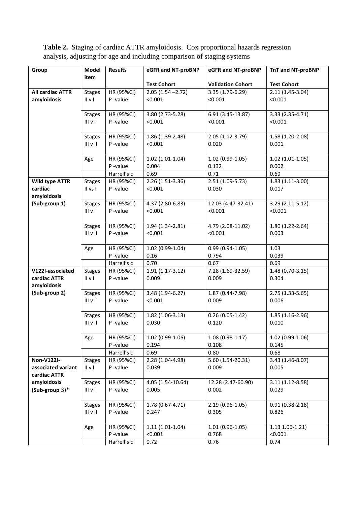**Table 2.** Staging of cardiac ATTR amyloidosis. Cox proportional hazards regression analysis, adjusting for age and including comparison of staging systems

| Group                   | Model                          | <b>Results</b>        | eGFR and NT-proBNP          | eGFR and NT-proBNP            | <b>TnT and NT-proBNP</b>    |
|-------------------------|--------------------------------|-----------------------|-----------------------------|-------------------------------|-----------------------------|
|                         | item                           |                       |                             |                               |                             |
|                         |                                |                       | <b>Test Cohort</b>          | <b>Validation Cohort</b>      | <b>Test Cohort</b>          |
| <b>All cardiac ATTR</b> | <b>Stages</b>                  | HR (95%CI)            | $2.05(1.54 - 2.72)$         | 3.35 (1.79-6.29)              | $2.11(1.45-3.04)$           |
| amyloidosis             | $II \vee I$                    | P-value               | < 0.001                     | < 0.001                       | < 0.001                     |
|                         | <b>Stages</b>                  | HR (95%CI)            | 3.80 (2.73-5.28)            | 6.91 (3.45-13.87)             | 3.33 (2.35-4.71)            |
|                         | III <sub>V</sub>               | P-value               | < 0.001                     | < 0.001                       | < 0.001                     |
|                         |                                |                       |                             |                               |                             |
|                         | <b>Stages</b>                  | HR (95%CI)            | 1.86 (1.39-2.48)            | 2.05 (1.12-3.79)              | 1.58 (1.20-2.08)            |
|                         | $III$ $V$ $II$                 | P-value               | < 0.001                     | 0.020                         | 0.001                       |
|                         |                                |                       |                             |                               |                             |
|                         | Age                            | HR (95%CI)            | $1.02(1.01-1.04)$           | $1.02(0.99-1.05)$             | $1.02(1.01-1.05)$           |
|                         |                                | P-value               | 0.004                       | 0.132                         | 0.002                       |
|                         |                                | Harrell's c           | 0.69                        | 0.71                          | 0.69                        |
| <b>Wild type ATTR</b>   | <b>Stages</b>                  | HR (95%CI)            | 2.26 (1.51-3.36)            | $2.51(1.09-5.73)$             | $1.83(1.11-3.00)$           |
| cardiac                 | II vs I                        | P-value               | < 0.001                     | 0.030                         | 0.017                       |
| amyloidosis             |                                |                       |                             |                               |                             |
| (Sub-group 1)           | <b>Stages</b><br>$III$ $V$ $I$ | HR (95%CI)<br>P-value | 4.37 (2.80-6.83)<br>< 0.001 | 12.03 (4.47-32.41)<br>< 0.001 | 3.29 (2.11-5.12)<br>< 0.001 |
|                         |                                |                       |                             |                               |                             |
|                         | <b>Stages</b>                  | HR (95%CI)            | 1.94 (1.34-2.81)            | 4.79 (2.08-11.02)             | $1.80(1.22-2.64)$           |
|                         | $III$ v $II$                   | P-value               | < 0.001                     | < 0.001                       | 0.003                       |
|                         |                                |                       |                             |                               |                             |
|                         | Age                            | HR (95%CI)            | $1.02(0.99-1.04)$           | $0.99(0.94-1.05)$             | 1.03                        |
|                         |                                | P-value               | 0.16                        | 0.794                         | 0.039                       |
|                         |                                | Harrell's c           | 0.70                        | 0.67                          | 0.69                        |
| V122I-associated        | <b>Stages</b>                  | HR (95%CI)            | $1.91(1.17-3.12)$           | 7.28 (1.69-32.59)             | 1.48 (0.70-3.15)            |
| cardiac ATTR            | IIVI                           | P-value               | 0.009                       | 0.009                         | 0.304                       |
| amyloidosis             |                                |                       |                             |                               |                             |
| (Sub-group 2)           | <b>Stages</b>                  | HR (95%CI)            | 3.48 (1.94-6.27)            | 1.87 (0.44-7.98)              | 2.75 (1.33-5.65)            |
|                         | III v I                        | P-value               | < 0.001                     | 0.009                         | 0.006                       |
|                         | <b>Stages</b>                  | HR (95%CI)            | 1.82 (1.06-3.13)            | $0.26(0.05-1.42)$             | 1.85 (1.16-2.96)            |
|                         | $III$ v $II$                   | P-value               | 0.030                       | 0.120                         | 0.010                       |
|                         |                                |                       |                             |                               |                             |
|                         | Age                            | HR (95%CI)            | $1.02(0.99-1.06)$           | $1.08(0.98-1.17)$             | 1.02 (0.99-1.06)            |
|                         |                                | P-value               | 0.194                       | 0.108                         | 0.145                       |
|                         |                                | Harrell's c           | 0.69                        | 0.80                          | 0.68                        |
| <b>Non-V122I-</b>       | <b>Stages</b>                  | HR (95%CI)            | 2.28 (1.04-4.98)            | 5.60 (1.54-20.31)             | 3.43 (1.46-8.07)            |
| associated variant      | II v I                         | P-value               | 0.039                       | 0.009                         | 0.005                       |
| cardiac ATTR            |                                |                       |                             |                               |                             |
| amyloidosis             | <b>Stages</b>                  | HR (95%CI)            | 4.05 (1.54-10.64)           | 12.28 (2.47-60.90)            | $3.11(1.12-8.58)$           |
| $(Sub-group 3)^*$       | $III$ v $I$                    | P-value               | 0.005                       | 0.002                         | 0.029                       |
|                         |                                |                       |                             |                               |                             |
|                         | <b>Stages</b><br>$III$ v $II$  | HR (95%CI)<br>P-value | 1.78 (0.67-4.71)<br>0.247   | 2.19 (0.96-1.05)<br>0.305     | $0.91(0.38-2.18)$<br>0.826  |
|                         |                                |                       |                             |                               |                             |
|                         | Age                            | HR (95%CI)            | $1.11(1.01-1.04)$           | $1.01(0.96-1.05)$             | $1.13$ 1.06-1.21)           |
|                         |                                | P-value               | < 0.001                     | 0.768                         | < 0.001                     |
|                         |                                | Harrell's c           | 0.72                        | 0.76                          | 0.74                        |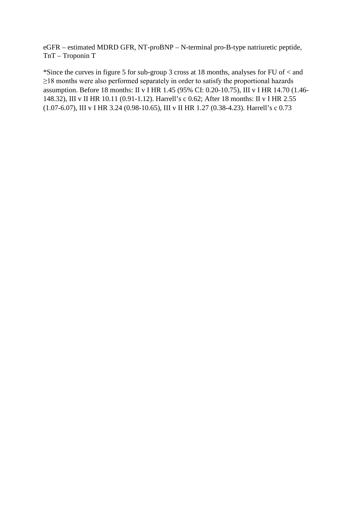eGFR – estimated MDRD GFR, NT-proBNP – N-terminal pro-B-type natriuretic peptide, TnT – Troponin T

\*Since the curves in figure 5 for sub-group 3 cross at 18 months, analyses for FU of < and ≥18 months were also performed separately in order to satisfy the proportional hazards assumption. Before 18 months: II v I HR 1.45 (95% CI: 0.20-10.75), III v I HR 14.70 (1.46- 148.32), III v II HR 10.11 (0.91-1.12). Harrell's c 0.62; After 18 months: II v I HR 2.55 (1.07-6.07), III v I HR 3.24 (0.98-10.65), III v II HR 1.27 (0.38-4.23). Harrell's c 0.73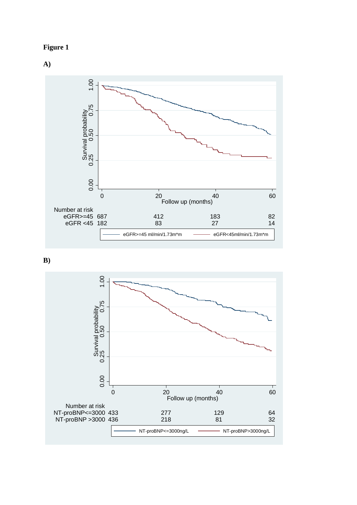



**B)**

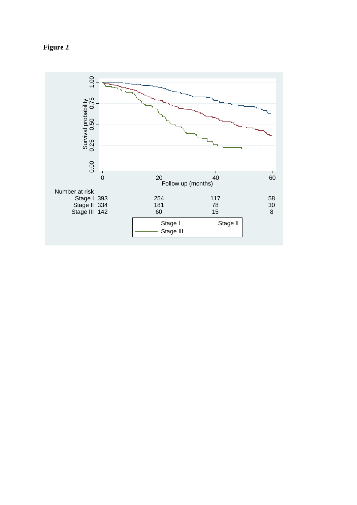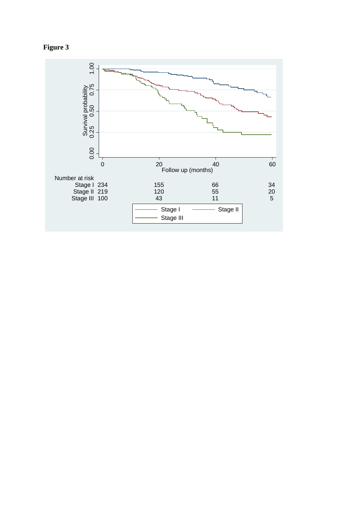

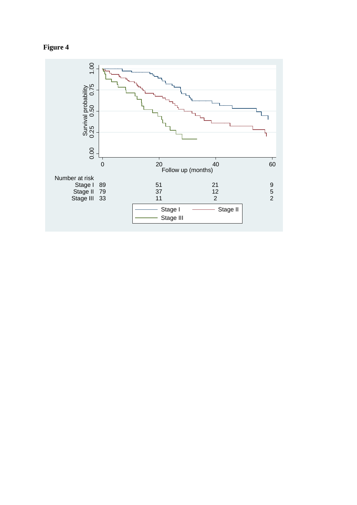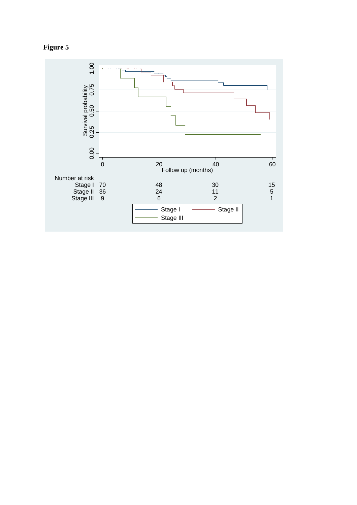